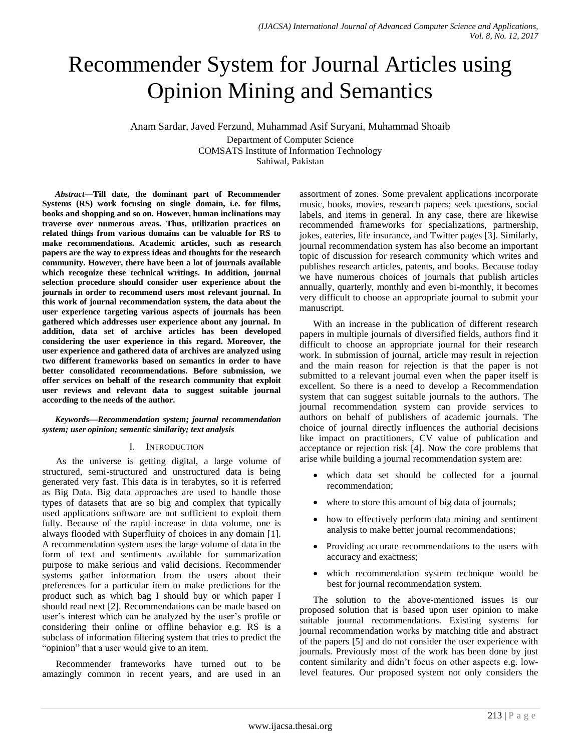# Recommender System for Journal Articles using Opinion Mining and Semantics

Anam Sardar, Javed Ferzund, Muhammad Asif Suryani, Muhammad Shoaib Department of Computer Science COMSATS Institute of Information Technology Sahiwal, Pakistan

*Abstract***—Till date, the dominant part of Recommender Systems (RS) work focusing on single domain, i.e. for films, books and shopping and so on. However, human inclinations may traverse over numerous areas. Thus, utilization practices on related things from various domains can be valuable for RS to make recommendations. Academic articles, such as research papers are the way to express ideas and thoughts for the research community. However, there have been a lot of journals available which recognize these technical writings. In addition, journal selection procedure should consider user experience about the journals in order to recommend users most relevant journal. In this work of journal recommendation system, the data about the user experience targeting various aspects of journals has been gathered which addresses user experience about any journal. In addition, data set of archive articles has been developed considering the user experience in this regard. Moreover, the user experience and gathered data of archives are analyzed using two different frameworks based on semantics in order to have better consolidated recommendations. Before submission, we offer services on behalf of the research community that exploit user reviews and relevant data to suggest suitable journal according to the needs of the author.**

## *Keywords—Recommendation system; journal recommendation system; user opinion; sementic similarity; text analysis*

## I. INTRODUCTION

As the universe is getting digital, a large volume of structured, semi-structured and unstructured data is being generated very fast. This data is in terabytes, so it is referred as Big Data. Big data approaches are used to handle those types of datasets that are so big and complex that typically used applications software are not sufficient to exploit them fully. Because of the rapid increase in data volume, one is always flooded with Superfluity of choices in any domain [1]. A recommendation system uses the large volume of data in the form of text and sentiments available for summarization purpose to make serious and valid decisions. Recommender systems gather information from the users about their preferences for a particular item to make predictions for the product such as which bag I should buy or which paper I should read next [2]. Recommendations can be made based on user's interest which can be analyzed by the user's profile or considering their online or offline behavior e.g. RS is a subclass of information filtering system that tries to predict the "opinion" that a user would give to an item.

Recommender frameworks have turned out to be amazingly common in recent years, and are used in an assortment of zones. Some prevalent applications incorporate music, books, movies, research papers; seek questions, social labels, and items in general. In any case, there are likewise recommended frameworks for specializations, partnership, jokes, eateries, life insurance, and Twitter pages [3]. Similarly, journal recommendation system has also become an important topic of discussion for research community which writes and publishes research articles, patents, and books. Because today we have numerous choices of journals that publish articles annually, quarterly, monthly and even bi-monthly, it becomes very difficult to choose an appropriate journal to submit your manuscript.

With an increase in the publication of different research papers in multiple journals of diversified fields, authors find it difficult to choose an appropriate journal for their research work. In submission of journal, article may result in rejection and the main reason for rejection is that the paper is not submitted to a relevant journal even when the paper itself is excellent. So there is a need to develop a Recommendation system that can suggest suitable journals to the authors. The journal recommendation system can provide services to authors on behalf of publishers of academic journals. The choice of journal directly influences the authorial decisions like impact on practitioners, CV value of publication and acceptance or rejection risk [4]. Now the core problems that arise while building a journal recommendation system are:

- which data set should be collected for a journal recommendation;
- where to store this amount of big data of journals;
- how to effectively perform data mining and sentiment analysis to make better journal recommendations;
- Providing accurate recommendations to the users with accuracy and exactness;
- which recommendation system technique would be best for journal recommendation system.

The solution to the above-mentioned issues is our proposed solution that is based upon user opinion to make suitable journal recommendations. Existing systems for journal recommendation works by matching title and abstract of the papers [5] and do not consider the user experience with journals. Previously most of the work has been done by just content similarity and didn"t focus on other aspects e.g. lowlevel features. Our proposed system not only considers the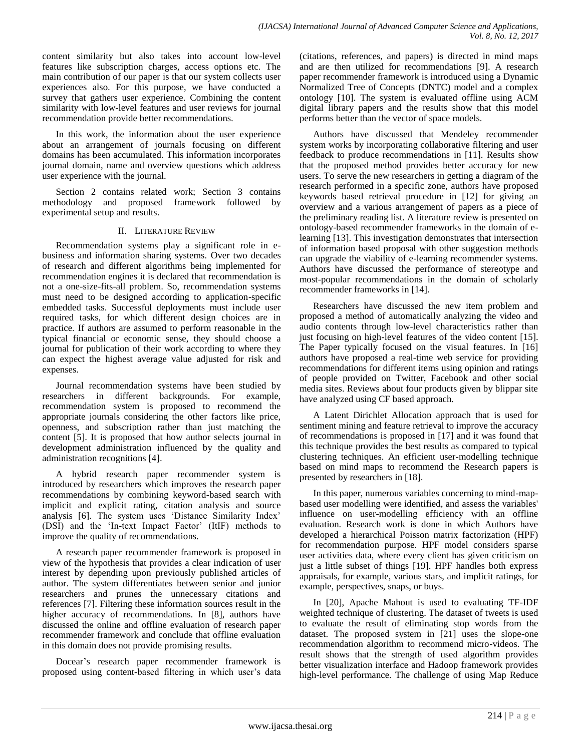content similarity but also takes into account low-level features like subscription charges, access options etc. The main contribution of our paper is that our system collects user experiences also. For this purpose, we have conducted a survey that gathers user experience. Combining the content similarity with low-level features and user reviews for journal recommendation provide better recommendations.

In this work, the information about the user experience about an arrangement of journals focusing on different domains has been accumulated. This information incorporates journal domain, name and overview questions which address user experience with the journal.

Section 2 contains related work; Section 3 contains methodology and proposed framework followed by experimental setup and results.

## II. LITERATURE REVIEW

Recommendation systems play a significant role in ebusiness and information sharing systems. Over two decades of research and different algorithms being implemented for recommendation engines it is declared that recommendation is not a one-size-fits-all problem. So, recommendation systems must need to be designed according to application-specific embedded tasks. Successful deployments must include user required tasks, for which different design choices are in practice. If authors are assumed to perform reasonable in the typical financial or economic sense, they should choose a journal for publication of their work according to where they can expect the highest average value adjusted for risk and expenses.

Journal recommendation systems have been studied by researchers in different backgrounds. For example, recommendation system is proposed to recommend the appropriate journals considering the other factors like price, openness, and subscription rather than just matching the content [5]. It is proposed that how author selects journal in development administration influenced by the quality and administration recognitions [4].

A hybrid research paper recommender system is introduced by researchers which improves the research paper recommendations by combining keyword-based search with implicit and explicit rating, citation analysis and source analysis [6]. The system uses "Distance Similarity Index" (DSI) and the 'In-text Impact Factor' (ItIF) methods to improve the quality of recommendations.

A research paper recommender framework is proposed in view of the hypothesis that provides a clear indication of user interest by depending upon previously published articles of author. The system differentiates between senior and junior researchers and prunes the unnecessary citations and references [7]. Filtering these information sources result in the higher accuracy of recommendations. In [8], authors have discussed the online and offline evaluation of research paper recommender framework and conclude that offline evaluation in this domain does not provide promising results.

Docear"s research paper recommender framework is proposed using content-based filtering in which user's data (citations, references, and papers) is directed in mind maps and are then utilized for recommendations [9]. A research paper recommender framework is introduced using a Dynamic Normalized Tree of Concepts (DNTC) model and a complex ontology [10]. The system is evaluated offline using ACM digital library papers and the results show that this model performs better than the vector of space models.

Authors have discussed that Mendeley recommender system works by incorporating collaborative filtering and user feedback to produce recommendations in [11]. Results show that the proposed method provides better accuracy for new users. To serve the new researchers in getting a diagram of the research performed in a specific zone, authors have proposed keywords based retrieval procedure in [12] for giving an overview and a various arrangement of papers as a piece of the preliminary reading list. A literature review is presented on ontology-based recommender frameworks in the domain of elearning [13]. This investigation demonstrates that intersection of information based proposal with other suggestion methods can upgrade the viability of e-learning recommender systems. Authors have discussed the performance of stereotype and most-popular recommendations in the domain of scholarly recommender frameworks in [14].

Researchers have discussed the new item problem and proposed a method of automatically analyzing the video and audio contents through low-level characteristics rather than just focusing on high-level features of the video content [15]. The Paper typically focused on the visual features. In [16] authors have proposed a real-time web service for providing recommendations for different items using opinion and ratings of people provided on Twitter, Facebook and other social media sites. Reviews about four products given by blippar site have analyzed using CF based approach.

A Latent Dirichlet Allocation approach that is used for sentiment mining and feature retrieval to improve the accuracy of recommendations is proposed in [17] and it was found that this technique provides the best results as compared to typical clustering techniques. An efficient user-modelling technique based on mind maps to recommend the Research papers is presented by researchers in [18].

In this paper, numerous variables concerning to mind-mapbased user modelling were identified, and assess the variables' influence on user-modelling efficiency with an offline evaluation. Research work is done in which Authors have developed a hierarchical Poisson matrix factorization (HPF) for recommendation purpose. HPF model considers sparse user activities data, where every client has given criticism on just a little subset of things [19]. HPF handles both express appraisals, for example, various stars, and implicit ratings, for example, perspectives, snaps, or buys.

In [20], Apache Mahout is used to evaluating TF-IDF weighted technique of clustering. The dataset of tweets is used to evaluate the result of eliminating stop words from the dataset. The proposed system in [21] uses the slope-one recommendation algorithm to recommend micro-videos. The result shows that the strength of used algorithm provides better visualization interface and Hadoop framework provides high-level performance. The challenge of using Map Reduce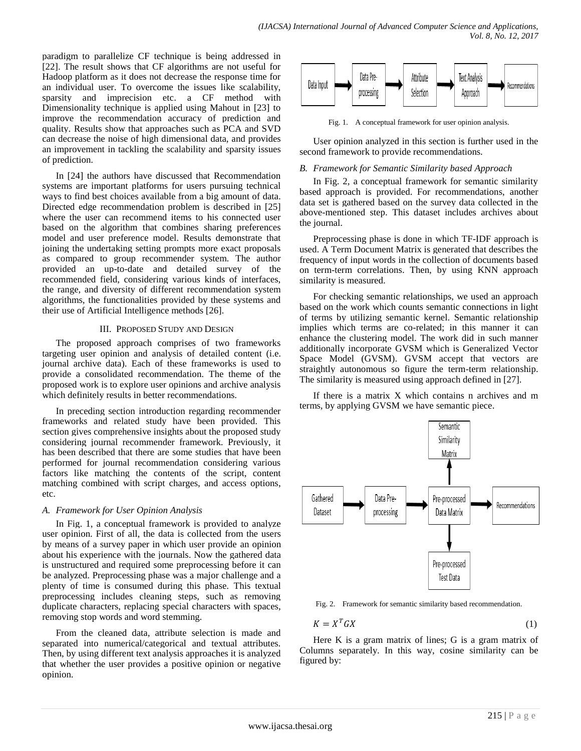paradigm to parallelize CF technique is being addressed in [22]. The result shows that CF algorithms are not useful for Hadoop platform as it does not decrease the response time for an individual user. To overcome the issues like scalability, sparsity and imprecision etc. a CF method with Dimensionality technique is applied using Mahout in [23] to improve the recommendation accuracy of prediction and quality. Results show that approaches such as PCA and SVD can decrease the noise of high dimensional data, and provides an improvement in tackling the scalability and sparsity issues of prediction.

In [24] the authors have discussed that Recommendation systems are important platforms for users pursuing technical ways to find best choices available from a big amount of data. Directed edge recommendation problem is described in [25] where the user can recommend items to his connected user based on the algorithm that combines sharing preferences model and user preference model. Results demonstrate that joining the undertaking setting prompts more exact proposals as compared to group recommender system. The author provided an up-to-date and detailed survey of the recommended field, considering various kinds of interfaces, the range, and diversity of different recommendation system algorithms, the functionalities provided by these systems and their use of Artificial Intelligence methods [26].

## III. PROPOSED STUDY AND DESIGN

The proposed approach comprises of two frameworks targeting user opinion and analysis of detailed content (i.e. journal archive data). Each of these frameworks is used to provide a consolidated recommendation. The theme of the proposed work is to explore user opinions and archive analysis which definitely results in better recommendations.

In preceding section introduction regarding recommender frameworks and related study have been provided. This section gives comprehensive insights about the proposed study considering journal recommender framework. Previously, it has been described that there are some studies that have been performed for journal recommendation considering various factors like matching the contents of the script, content matching combined with script charges, and access options, etc.

## *A. Framework for User Opinion Analysis*

In Fig. 1, a conceptual framework is provided to analyze user opinion. First of all, the data is collected from the users by means of a survey paper in which user provide an opinion about his experience with the journals. Now the gathered data is unstructured and required some preprocessing before it can be analyzed. Preprocessing phase was a major challenge and a plenty of time is consumed during this phase. This textual preprocessing includes cleaning steps, such as removing duplicate characters, replacing special characters with spaces, removing stop words and word stemming.

From the cleaned data, attribute selection is made and separated into numerical/categorical and textual attributes. Then, by using different text analysis approaches it is analyzed that whether the user provides a positive opinion or negative opinion.



Fig. 1. A conceptual framework for user opinion analysis.

User opinion analyzed in this section is further used in the second framework to provide recommendations.

## *B. Framework for Semantic Similarity based Approach*

In Fig. 2, a conceptual framework for semantic similarity based approach is provided. For recommendations, another data set is gathered based on the survey data collected in the above-mentioned step. This dataset includes archives about the journal.

Preprocessing phase is done in which TF-IDF approach is used. A Term Document Matrix is generated that describes the frequency of input words in the collection of documents based on term-term correlations. Then, by using KNN approach similarity is measured.

For checking semantic relationships, we used an approach based on the work which counts semantic connections in light of terms by utilizing semantic kernel. Semantic relationship implies which terms are co-related; in this manner it can enhance the clustering model. The work did in such manner additionally incorporate GVSM which is Generalized Vector Space Model (GVSM). GVSM accept that vectors are straightly autonomous so figure the term-term relationship. The similarity is measured using approach defined in [27].

If there is a matrix X which contains n archives and m terms, by applying GVSM we have semantic piece.



Fig. 2. Framework for semantic similarity based recommendation.

$$
K = X^T G X \tag{1}
$$

Here K is a gram matrix of lines; G is a gram matrix of Columns separately. In this way, cosine similarity can be figured by: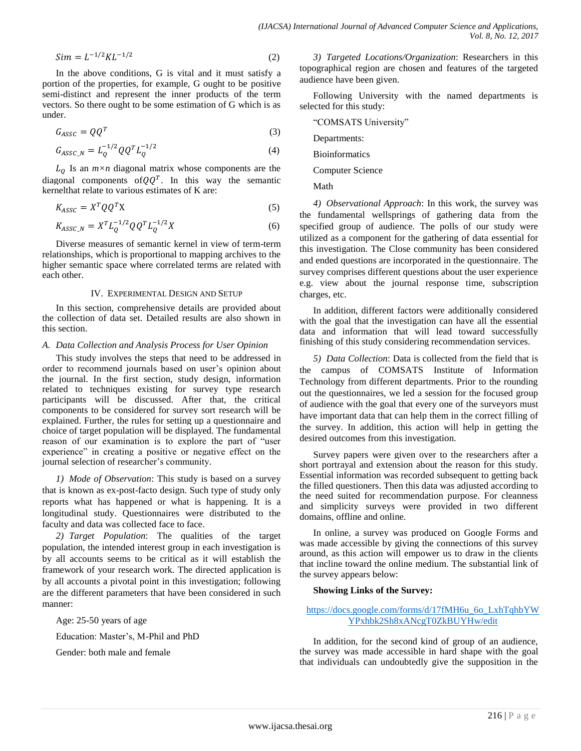$$
Sim = L^{-1/2} K L^{-1/2}
$$
 (2)

In the above conditions, G is vital and it must satisfy a portion of the properties, for example, G ought to be positive semi-distinct and represent the inner products of the term vectors. So there ought to be some estimation of G which is as under.

$$
G_{ASSC} = QQ^T
$$
 (3)

$$
G_{ASSC\_N} = L_Q^{-1/2} Q Q^T L_Q^{-1/2}
$$
\n(4)

 $L_0$  Is an  $m \times n$  diagonal matrix whose components are the diagonal components of  $QQ^T$ . In this way the semantic kernelthat relate to various estimates of K are:

$$
K_{ASSC} = X^T Q Q^T X \tag{5}
$$

$$
K_{ASSC\_N} = X^T L_Q^{-1/2} Q Q^T L_Q^{-1/2} X \tag{6}
$$

Diverse measures of semantic kernel in view of term-term relationships, which is proportional to mapping archives to the higher semantic space where correlated terms are related with each other.

#### IV. EXPERIMENTAL DESIGN AND SETUP

In this section, comprehensive details are provided about the collection of data set. Detailed results are also shown in this section.

#### *A. Data Collection and Analysis Process for User Opinion*

This study involves the steps that need to be addressed in order to recommend journals based on user"s opinion about the journal. In the first section, study design, information related to techniques existing for survey type research participants will be discussed. After that, the critical components to be considered for survey sort research will be explained. Further, the rules for setting up a questionnaire and choice of target population will be displayed. The fundamental reason of our examination is to explore the part of "user experience" in creating a positive or negative effect on the journal selection of researcher's community.

*1) Mode of Observation*: This study is based on a survey that is known as ex-post-facto design. Such type of study only reports what has happened or what is happening. It is a longitudinal study. Questionnaires were distributed to the faculty and data was collected face to face.

*2) Target Population*: The qualities of the target population, the intended interest group in each investigation is by all accounts seems to be critical as it will establish the framework of your research work. The directed application is by all accounts a pivotal point in this investigation; following are the different parameters that have been considered in such manner:

Age: 25-50 years of age

Education: Master's, M-Phil and PhD

Gender: both male and female

*3) Targeted Locations/Organization*: Researchers in this topographical region are chosen and features of the targeted audience have been given.

Following University with the named departments is selected for this study:

"COMSATS University"

Departments:

Bioinformatics

Computer Science

Math

*4) Observational Approach*: In this work, the survey was the fundamental wellsprings of gathering data from the specified group of audience. The polls of our study were utilized as a component for the gathering of data essential for this investigation. The Close community has been considered and ended questions are incorporated in the questionnaire. The survey comprises different questions about the user experience e.g. view about the journal response time, subscription charges, etc.

In addition, different factors were additionally considered with the goal that the investigation can have all the essential data and information that will lead toward successfully finishing of this study considering recommendation services.

*5) Data Collection*: Data is collected from the field that is the campus of COMSATS Institute of Information Technology from different departments. Prior to the rounding out the questionnaires, we led a session for the focused group of audience with the goal that every one of the surveyors must have important data that can help them in the correct filling of the survey. In addition, this action will help in getting the desired outcomes from this investigation.

Survey papers were given over to the researchers after a short portrayal and extension about the reason for this study. Essential information was recorded subsequent to getting back the filled questioners. Then this data was adjusted according to the need suited for recommendation purpose. For cleanness and simplicity surveys were provided in two different domains, offline and online.

In online, a survey was produced on Google Forms and was made accessible by giving the connections of this survey around, as this action will empower us to draw in the clients that incline toward the online medium. The substantial link of the survey appears below:

## **Showing Links of the Survey:**

# [https://docs.google.com/forms/d/17fMH6u\\_6o\\_LxhTqhbYW](https://docs.google.com/forms/d/17fMH6u_6o_LxhTqhbYWYPxhbk2Sh8xANcgT0ZkBUYHw/edit) [YPxhbk2Sh8xANcgT0ZkBUYHw/edit](https://docs.google.com/forms/d/17fMH6u_6o_LxhTqhbYWYPxhbk2Sh8xANcgT0ZkBUYHw/edit)

In addition, for the second kind of group of an audience, the survey was made accessible in hard shape with the goal that individuals can undoubtedly give the supposition in the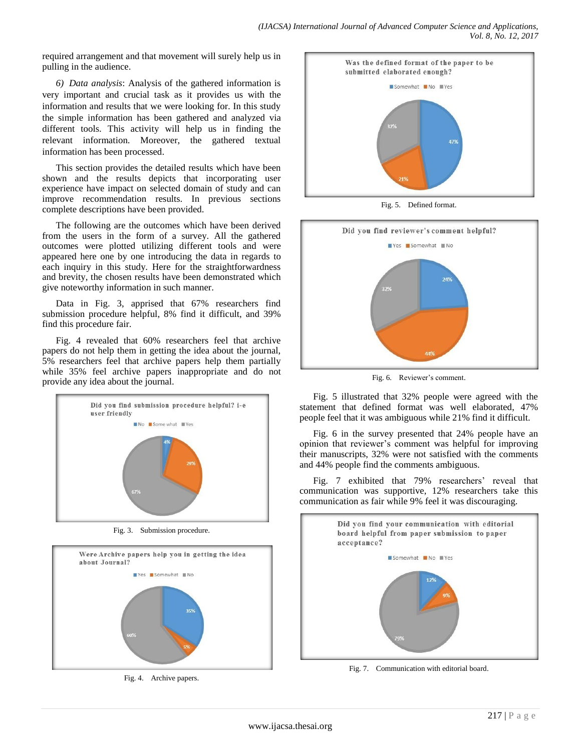required arrangement and that movement will surely help us in pulling in the audience.

*6) Data analysis*: Analysis of the gathered information is very important and crucial task as it provides us with the information and results that we were looking for. In this study the simple information has been gathered and analyzed via different tools. This activity will help us in finding the relevant information. Moreover, the gathered textual information has been processed.

This section provides the detailed results which have been shown and the results depicts that incorporating user experience have impact on selected domain of study and can improve recommendation results. In previous sections complete descriptions have been provided.

The following are the outcomes which have been derived from the users in the form of a survey. All the gathered outcomes were plotted utilizing different tools and were appeared here one by one introducing the data in regards to each inquiry in this study. Here for the straightforwardness and brevity, the chosen results have been demonstrated which give noteworthy information in such manner.

Data in Fig. 3, apprised that 67% researchers find submission procedure helpful, 8% find it difficult, and 39% find this procedure fair.

Fig. 4 revealed that 60% researchers feel that archive papers do not help them in getting the idea about the journal, 5% researchers feel that archive papers help them partially while 35% feel archive papers inappropriate and do not provide any idea about the journal.



Fig. 3. Submission procedure.



Fig. 4. Archive papers.



Fig. 5. Defined format.



Fig. 6. Reviewer's comment.

Fig. 5 illustrated that 32% people were agreed with the statement that defined format was well elaborated, 47% people feel that it was ambiguous while 21% find it difficult.

Fig. 6 in the survey presented that 24% people have an opinion that reviewer"s comment was helpful for improving their manuscripts, 32% were not satisfied with the comments and 44% people find the comments ambiguous.

Fig. 7 exhibited that 79% researchers' reveal that communication was supportive, 12% researchers take this communication as fair while 9% feel it was discouraging.



Fig. 7. Communication with editorial board.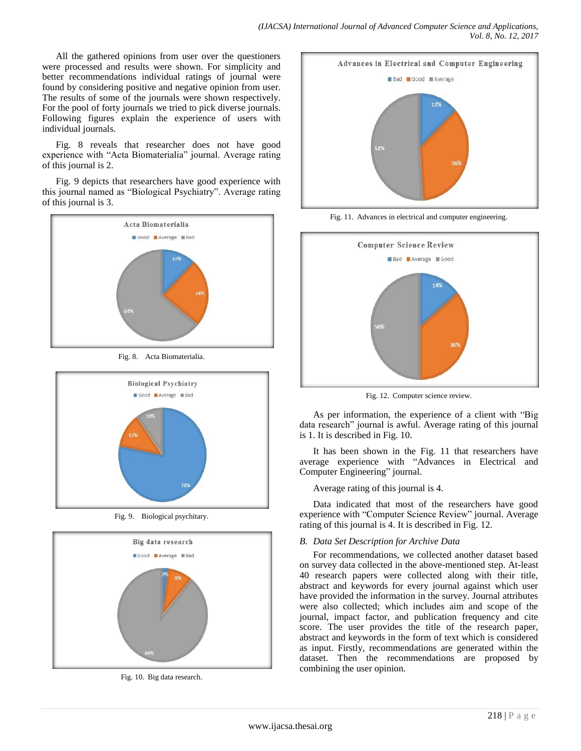All the gathered opinions from user over the questioners were processed and results were shown. For simplicity and better recommendations individual ratings of journal were found by considering positive and negative opinion from user. The results of some of the journals were shown respectively. For the pool of forty journals we tried to pick diverse journals. Following figures explain the experience of users with individual journals.

Fig. 8 reveals that researcher does not have good experience with "Acta Biomaterialia" journal. Average rating of this journal is 2.

Fig. 9 depicts that researchers have good experience with this journal named as "Biological Psychiatry". Average rating of this journal is 3.





Fig. 9. Biological psychitary.



Fig. 10. Big data research.



Fig. 11. Advances in electrical and computer engineering.



Fig. 12. Computer science review.

As per information, the experience of a client with "Big data research" journal is awful. Average rating of this journal is 1. It is described in Fig. 10.

It has been shown in the Fig. 11 that researchers have average experience with "Advances in Electrical and Computer Engineering" journal.

Average rating of this journal is 4.

Data indicated that most of the researchers have good experience with "Computer Science Review" journal. Average rating of this journal is 4. It is described in Fig. 12.

# *B. Data Set Description for Archive Data*

For recommendations, we collected another dataset based on survey data collected in the above-mentioned step. At-least 40 research papers were collected along with their title, abstract and keywords for every journal against which user have provided the information in the survey. Journal attributes were also collected; which includes aim and scope of the journal, impact factor, and publication frequency and cite score. The user provides the title of the research paper, abstract and keywords in the form of text which is considered as input. Firstly, recommendations are generated within the dataset. Then the recommendations are proposed by combining the user opinion.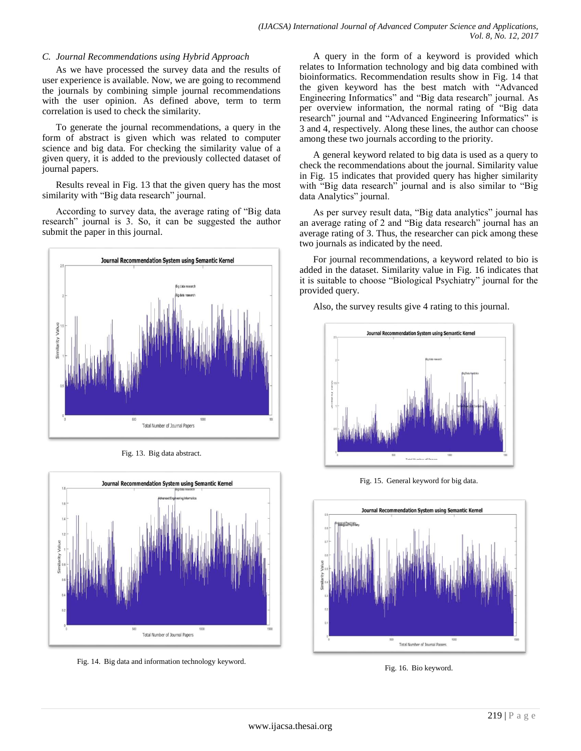## *C. Journal Recommendations using Hybrid Approach*

As we have processed the survey data and the results of user experience is available. Now, we are going to recommend the journals by combining simple journal recommendations with the user opinion. As defined above, term to term correlation is used to check the similarity.

To generate the journal recommendations, a query in the form of abstract is given which was related to computer science and big data. For checking the similarity value of a given query, it is added to the previously collected dataset of journal papers.

Results reveal in Fig. 13 that the given query has the most similarity with "Big data research" journal.

According to survey data, the average rating of "Big data research" journal is 3. So, it can be suggested the author submit the paper in this journal.



Fig. 13. Big data abstract.



Fig. 14. Big data and information technology keyword.

A query in the form of a keyword is provided which relates to Information technology and big data combined with bioinformatics. Recommendation results show in Fig. 14 that the given keyword has the best match with "Advanced Engineering Informatics" and "Big data research" journal. As per overview information, the normal rating of "Big data research" journal and "Advanced Engineering Informatics" is 3 and 4, respectively. Along these lines, the author can choose among these two journals according to the priority.

A general keyword related to big data is used as a query to check the recommendations about the journal. Similarity value in Fig. 15 indicates that provided query has higher similarity with "Big data research" journal and is also similar to "Big data Analytics" journal.

As per survey result data, "Big data analytics" journal has an average rating of 2 and "Big data research" journal has an average rating of 3. Thus, the researcher can pick among these two journals as indicated by the need.

For journal recommendations, a keyword related to bio is added in the dataset. Similarity value in Fig. 16 indicates that it is suitable to choose "Biological Psychiatry" journal for the provided query.

Also, the survey results give 4 rating to this journal.



Fig. 15. General keyword for big data.



Fig. 16. Bio keyword.